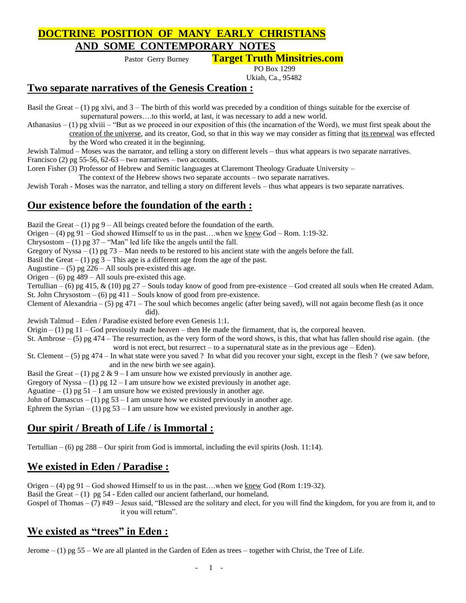## **DOCTRINE POSITION OF MANY EARLY CHRISTIANS AND SOME CONTEMPORARY NOTES**

Pastor Gerry Burney **Target Truth Minsitries.com**

PO Box 1299

Ukiah, Ca., 95482

#### **Two separate narratives of the Genesis Creation :**

Basil the Great – (1) pg xlvi, and  $3$  – The birth of this world was preceded by a condition of things suitable for the exercise of supernatural powers….to this world, at last, it was necessary to add a new world.

Athanasius  $- (1)$  pg xlviii – "But as we proceed in our exposition of this (the incarnation of the Word), we must first speak about the creation of the universe, and its creator, God, so that in this way we may consider as fitting that its renewal was effected by the Word who created it in the beginning.

Jewish Talmud – Moses was the narrator, and telling a story on different levels – thus what appears is two separate narratives. Francisco (2) pg 55-56,  $62-63$  – two narratives – two accounts.

Loren Fisher (3) Professor of Hebrew and Semitic languages at Claremont Theology Graduate University –

The context of the Hebrew shows two separate accounts – two separate narratives.

Jewish Torah - Moses was the narrator, and telling a story on different levels – thus what appears is two separate narratives.

#### **Our existence before the foundation of the earth :**

Bazil the Great – (1) pg 9 – All beings created before the foundation of the earth.

Origen – (4) pg 91 – God showed Himself to us in the past... when we <u>knew</u> God – Rom. 1:19-32.

Chrysostom  $- (1)$  pg 37 – "Man" led life like the angels until the fall.

Gregory of Nyssa – (1) pg 73 – Man needs to be restored to his ancient state with the angels before the fall.

Basil the Great – (1) pg  $3$  – This age is a different age from the age of the past.

Augustine – (5) pg  $226 - All$  souls pre-existed this age.

Origen – (6) pg  $489$  – All souls pre-existed this age.

Tertullian – (6) pg 415, & (10) pg 27 – Souls today know of good from pre-existence – God created all souls when He created Adam. St. John Chrysostom  $-$  (6) pg 411 – Souls know of good from pre-existence.

Clement of Alexandria – (5) pg 471 – The soul which becomes angelic (after being saved), will not again become flesh (as it once did).

Jewish Talmud – Eden / Paradise existed before even Genesis 1:1.

Origin  $- (1)$  pg  $11 -$ God previously made heaven – then He made the firmament, that is, the corporeal heaven.

St. Ambrose  $-$  (5) pg 474 – The resurrection, as the very form of the word shows, is this, that what has fallen should rise again. (the word is not erect, but resurrect – to a supernatural state as in the previous age – Eden).

St. Clement – (5) pg 474 – In what state were you saved ? In what did you recover your sight, except in the flesh ? (we saw before, and in the new birth we see again).

Basil the Great – (1) pg  $2 \& 9 - I$  am unsure how we existed previously in another age.

Gregory of Nyssa – (1) pg  $12 - I$  am unsure how we existed previously in another age.

Aguatine  $- (1)$  pg 51 – I am unsure how we existed previously in another age.

John of Damascus – (1) pg  $53 - I$  am unsure how we existed previously in another age.

Ephrem the Syrian – (1) pg  $53 - I$  am unsure how we existed previously in another age.

## **Our spirit / Breath of Life / is Immortal :**

Tertullian – (6) pg  $288$  – Our spirit from God is immortal, including the evil spirits (Josh. 11:14).

## **We existed in Eden / Paradise :**

Origen – (4) pg 91 – God showed Himself to us in the past...when we <u>knew</u> God (Rom 1:19-32).

Basil the Great  $- (1)$  pg 54 - Eden called our ancient fatherland, our homeland.

Gospel of Thomas – (7) #49 – Jesus said, "Blessed are the solitary and elect, for you will find the kingdom, for you are from it, and to it you will return".

### **We existed as "trees" in Eden :**

Jerome  $- (1)$  pg 55 – We are all planted in the Garden of Eden as trees – together with Christ, the Tree of Life.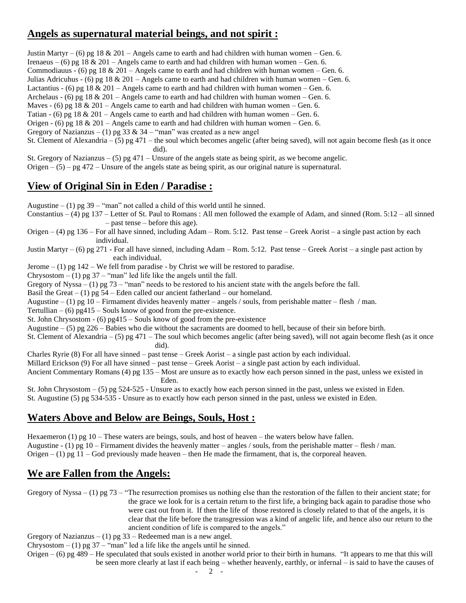### **Angels as supernatural material beings, and not spirit :**

Justin Martyr – (6) pg 18  $& 201$  – Angels came to earth and had children with human women – Gen. 6. Irenaeus – (6) pg 18 & 201 – Angels came to earth and had children with human women – Gen. 6. Commodiauus - (6) pg 18  $& 201$  – Angels came to earth and had children with human women – Gen. 6. Julias Adricuhus - (6) pg 18 & 201 – Angels came to earth and had children with human women – Gen. 6. Lactantius - (6) pg 18  $& 201 -$  Angels came to earth and had children with human women – Gen. 6. Archelaus - (6) pg 18  $\&$  201 – Angels came to earth and had children with human women – Gen. 6. Maves - (6) pg 18  $\&$  201 – Angels came to earth and had children with human women – Gen. 6. Tatian - (6) pg 18  $\&$  201 – Angels came to earth and had children with human women – Gen. 6. Origen - (6) pg 18  $\&$  201 – Angels came to earth and had children with human women – Gen. 6. Gregory of Nazianzus – (1) pg 33 & 34 – "man" was created as a new angel St. Clement of Alexandria – (5) pg 471 – the soul which becomes angelic (after being saved), will not again become flesh (as it once did). St. Gregory of Nazianzus – (5) pg 471 – Unsure of the angels state as being spirit, as we become angelic. Origen  $-(5)$  – pg 472 – Unsure of the angels state as being spirit, as our original nature is supernatural.

### **View of Original Sin in Eden / Paradise :**

Augustine  $- (1)$  pg 39 – "man" not called a child of this world until he sinned.

- Constantius (4) pg 137 Letter of St. Paul to Romans: All men followed the example of Adam, and sinned (Rom.  $5:12$  all sinned – past tense – before this age).
- Origen  $-$  (4) pg 136 For all have sinned, including Adam Rom. 5:12. Past tense Greek Aorist a single past action by each individual.

Justin Martyr – (6) pg 271 - For all have sinned, including Adam – Rom. 5:12. Past tense – Greek Aorist – a single past action by each individual.

Jerome  $- (1)$  pg  $142 -$  We fell from paradise - by Christ we will be restored to paradise.

Chrysostom  $- (1)$  pg 37 – "man" led life like the angels until the fall.

Gregory of Nyssa – (1) pg 73 – "man" needs to be restored to his ancient state with the angels before the fall.

Basil the Great – (1) pg  $54$  – Eden called our ancient fatherland – our homeland.

Augustine  $- (1)$  pg 10 – Firmament divides heavenly matter – angels / souls, from perishable matter – flesh / man.

Tertullian  $-$  (6) pg415 – Souls know of good from the pre-existence.

St. John Chrysostom - (6) pg415 – Souls know of good from the pre-existence

Augustine – (5) pg 226 – Babies who die without the sacraments are doomed to hell, because of their sin before birth.

St. Clement of Alexandria – (5) pg 471 – The soul which becomes angelic (after being saved), will not again become flesh (as it once did).

Charles Ryrie (8) For all have sinned – past tense – Greek Aorist – a single past action by each individual.

Millard Erickson (9) For all have sinned – past tense – Greek Aorist – a single past action by each individual.

Ancient Commentary Romans (4) pg 135 – Most are unsure as to exactly how each person sinned in the past, unless we existed in Eden.

St. John Chrysostom – (5) pg 524-525 - Unsure as to exactly how each person sinned in the past, unless we existed in Eden. St. Augustine (5) pg 534-535 - Unsure as to exactly how each person sinned in the past, unless we existed in Eden.

### **Waters Above and Below are Beings, Souls, Host :**

Hexaemeron (1) pg 10 – These waters are beings, souls, and host of heaven – the waters below have fallen. Augustine  $- (1)$  pg 10 – Firmament divides the heavenly matter – angles / souls, from the perishable matter – flesh / man. Origen  $- (1)$  pg  $11 -$  God previously made heaven – then He made the firmament, that is, the corporeal heaven.

### **We are Fallen from the Angels:**

Gregory of Nyssa – (1) pg 73 – "The resurrection promises us nothing else than the restoration of the fallen to their ancient state; for the grace we look for is a certain return to the first life, a bringing back again to paradise those who were cast out from it. If then the life of those restored is closely related to that of the angels, it is clear that the life before the transgression was a kind of angelic life, and hence also our return to the ancient condition of life is compared to the angels."

Gregory of Nazianzus – (1) pg  $33$  – Redeemed man is a new angel.

Chrysostom  $- (1)$  pg 37 – "man" led a life like the angels until he sinned.

Origen – (6) pg 489 – He speculated that souls existed in another world prior to their birth in humans. "It appears to me that this will be seen more clearly at last if each being – whether heavenly, earthly, or infernal – is said to have the causes of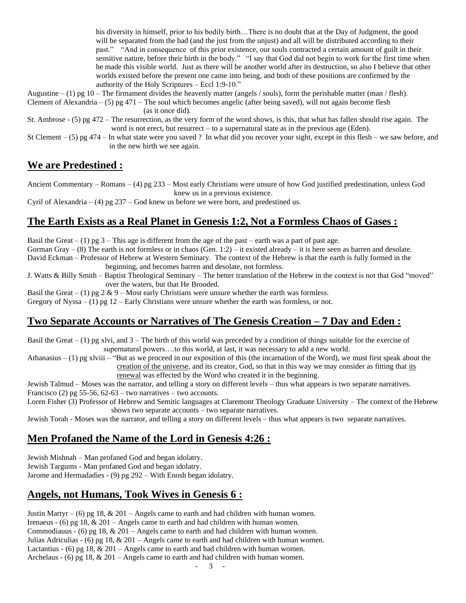his diversity in himself, prior to his bodily birth…There is no doubt that at the Day of Judgment, the good will be separated from the bad (and the just from the unjust) and all will be distributed according to their past." "And in consequence of this prior existence, our souls contracted a certain amount of guilt in their sensitive nature, before their birth in the body." "I say that God did not begin to work for the first time when he made this visible world. Just as there will be another world after its destruction, so also I believe that other worlds existed before the present one came into being, and both of these positions are confirmed by the authority of the Holy Scriptures – Eccl 1:9-10."

Augustine  $- (1)$  pg 10 – The firmament divides the heavenly matter (angels / souls), form the perishable matter (man / flesh). Clement of Alexandria – (5) pg 471 – The soul which becomes angelic (after being saved), will not again become flesh

(as it once did).

St. Ambrose - (5) pg 472 – The resurrection, as the very form of the word shows, is this, that what has fallen should rise again. The word is not erect, but resurrect – to a supernatural state as in the previous age (Eden).

St Clement – (5) pg 474 – In what state were you saved ? In what did you recover your sight, except in this flesh – we saw before, and in the new birth we see again.

### **We are Predestined :**

Ancient Commentary – Romans – (4) pg 233 – Most early Christians were unsure of how God justified predestination, unless God knew us in a previous existence.

Cyril of Alexandria – (4) pg  $237$  – God knew us before we were born, and predestined us.

# **The Earth Exists as a Real Planet in Genesis 1:2, Not a Formless Chaos of Gases :**

Basil the Great – (1) pg  $3$  – This age is different from the age of the past – earth was a part of past age. Gorman Gray – (8) The earth is not formless or in chaos (Gen. 1:2) – it existed already – it is here seen as barren and desolate. David Eckman – Professor of Hebrew at Western Seminary. The context of the Hebrew is that the earth is fully formed in the beginning, and becomes barren and desolate, not formless.

J. Watts & Billy Smith – Baptist Theological Seminary – The better translation of the Hebrew in the context is not that God "moved" over the waters, but that He Brooded.

Basil the Great – (1) pg  $2 \& 9$  – Most early Christians were unsure whether the earth was formless.

Gregory of Nyssa – (1) pg  $12$  – Early Christians were unsure whether the earth was formless, or not.

### **Two Separate Accounts or Narratives of The Genesis Creation – 7 Day and Eden :**

Basil the Great – (1) pg xlvi, and  $3$  – The birth of this world was preceded by a condition of things suitable for the exercise of supernatural powers….to this world, at last, it was necessary to add a new world.

Athanasius  $- (1)$  pg xlviii – "But as we proceed in our exposition of this (the incarnation of the Word), we must first speak about the creation of the universe, and its creator, God, so that in this way we may consider as fitting that its

renewal was effected by the Word who created it in the beginning.

Jewish Talmud – Moses was the narrator, and telling a story on different levels – thus what appears is two separate narratives. Francisco (2) pg 55-56,  $62-63$  – two narratives – two accounts.

Loren Fisher (3) Professor of Hebrew and Semitic languages at Claremont Theology Graduate University – The context of the Hebrew shows two separate accounts – two separate narratives.

Jewish Torah - Moses was the narrator, and telling a story on different levels – thus what appears is two separate narratives.

## **Men Profaned the Name of the Lord in Genesis 4:26 :**

Jewish Mishnah – Man profaned God and began idolatry. Jewish Targums - Man profaned God and began idolatry.

Jarome and Hermadadies - (9) pg 292 – With Enosh began idolatry.

## **Angels, not Humans, Took Wives in Genesis 6 :**

Justin Martyr – (6) pg 18,  $& 201$  – Angels came to earth and had children with human women. Irenaeus - (6) pg 18, & 201 – Angels came to earth and had children with human women. Commodiauus - (6) pg 18,  $& 201 -$  Angels came to earth and had children with human women. Julias Adriculias - (6) pg 18,  $& 201 -$  Angels came to earth and had children with human women. Lactantius - (6) pg 18,  $& 201 -$  Angels came to earth and had children with human women. Archelaus - (6) pg 18,  $& 201 -$ Angels came to earth and had children with human women.